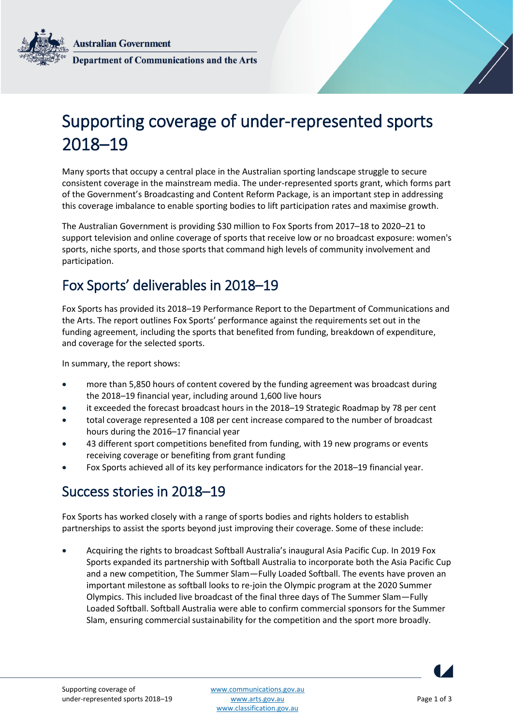**Australian Government Department of Communications and the Arts** 

# Supporting coverage of under-represented sports 2018–19

Many sports that occupy a central place in the Australian sporting landscape struggle to secure consistent coverage in the mainstream media. The under-represented sports grant, which forms part of the Government's Broadcasting and Content Reform Package, is an important step in addressing this coverage imbalance to enable sporting bodies to lift participation rates and maximise growth.

The Australian Government is providing \$30 million to Fox Sports from 2017–18 to 2020–21 to support television and online coverage of sports that receive low or no broadcast exposure: women's sports, niche sports, and those sports that command high levels of community involvement and participation.

## Fox Sports' deliverables in 2018–19

Fox Sports has provided its 2018–19 Performance Report to the Department of Communications and the Arts. The report outlines Fox Sports' performance against the requirements set out in the funding agreement, including the sports that benefited from funding, breakdown of expenditure, and coverage for the selected sports.

In summary, the report shows:

- more than 5,850 hours of content covered by the funding agreement was broadcast during the 2018–19 financial year, including around 1,600 live hours
- it exceeded the forecast broadcast hours in the 2018–19 Strategic Roadmap by 78 per cent
- total coverage represented a 108 per cent increase compared to the number of broadcast hours during the 2016–17 financial year
- 43 different sport competitions benefited from funding, with 19 new programs or events receiving coverage or benefiting from grant funding
- Fox Sports achieved all of its key performance indicators for the 2018–19 financial year.

### Success stories in 2018–19

Fox Sports has worked closely with a range of sports bodies and rights holders to establish partnerships to assist the sports beyond just improving their coverage. Some of these include:

 Acquiring the rights to broadcast Softball Australia's inaugural Asia Pacific Cup. In 2019 Fox Sports expanded its partnership with Softball Australia to incorporate both the Asia Pacific Cup and a new competition, The Summer Slam—Fully Loaded Softball. The events have proven an important milestone as softball looks to re-join the Olympic program at the 2020 Summer Olympics. This included live broadcast of the final three days of The Summer Slam—Fully Loaded Softball. Softball Australia were able to confirm commercial sponsors for the Summer Slam, ensuring commercial sustainability for the competition and the sport more broadly.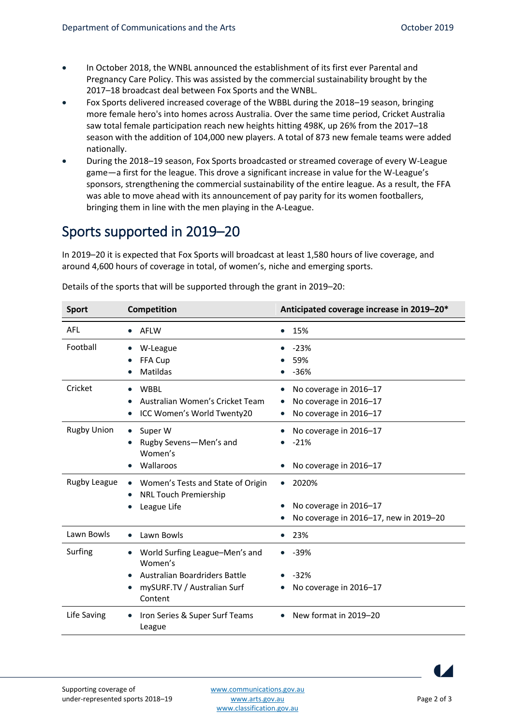- In October 2018, the WNBL announced the establishment of its first ever Parental and Pregnancy Care Policy. This was assisted by the commercial sustainability brought by the 2017–18 broadcast deal between Fox Sports and the WNBL.
- Fox Sports delivered increased coverage of the WBBL during the 2018–19 season, bringing more female hero's into homes across Australia. Over the same time period, Cricket Australia saw total female participation reach new heights hitting 498K, up 26% from the 2017–18 season with the addition of 104,000 new players. A total of 873 new female teams were added nationally.
- During the 2018–19 season, Fox Sports broadcasted or streamed coverage of every W-League game—a first for the league. This drove a significant increase in value for the W-League's sponsors, strengthening the commercial sustainability of the entire league. As a result, the FFA was able to move ahead with its announcement of pay parity for its women footballers, bringing them in line with the men playing in the A-League.

## Sports supported in 2019–20

In 2019–20 it is expected that Fox Sports will broadcast at least 1,580 hours of live coverage, and around 4,600 hours of coverage in total, of women's, niche and emerging sports.

| <b>Sport</b>       | Competition                                                                                                          | Anticipated coverage increase in 2019-20*                                              |
|--------------------|----------------------------------------------------------------------------------------------------------------------|----------------------------------------------------------------------------------------|
| AFL                | AFLW                                                                                                                 | 15%                                                                                    |
| Football           | W-League<br>FFA Cup<br>Matildas                                                                                      | $-23%$<br>59%<br>$-36%$                                                                |
| Cricket            | <b>WBBL</b><br>Australian Women's Cricket Team<br>ICC Women's World Twenty20                                         | No coverage in 2016-17<br>No coverage in 2016-17<br>No coverage in 2016-17             |
| <b>Rugby Union</b> | Super W<br>$\bullet$<br>Rugby Sevens-Men's and<br>Women's<br>Wallaroos                                               | No coverage in 2016-17<br>$-21%$<br>No coverage in 2016-17                             |
| Rugby League       | Women's Tests and State of Origin<br><b>NRL Touch Premiership</b><br>League Life                                     | 2020%<br>$\bullet$<br>No coverage in 2016-17<br>No coverage in 2016-17, new in 2019-20 |
| Lawn Bowls         | Lawn Bowls<br>$\bullet$                                                                                              | 23%                                                                                    |
| Surfing            | World Surfing League-Men's and<br>Women's<br>Australian Boardriders Battle<br>mySURF.TV / Australian Surf<br>Content | $-39%$<br>$-32%$<br>No coverage in 2016-17                                             |
| Life Saving        | Iron Series & Super Surf Teams<br>League                                                                             | New format in 2019-20<br>$\bullet$                                                     |

Details of the sports that will be supported through the grant in 2019–20: